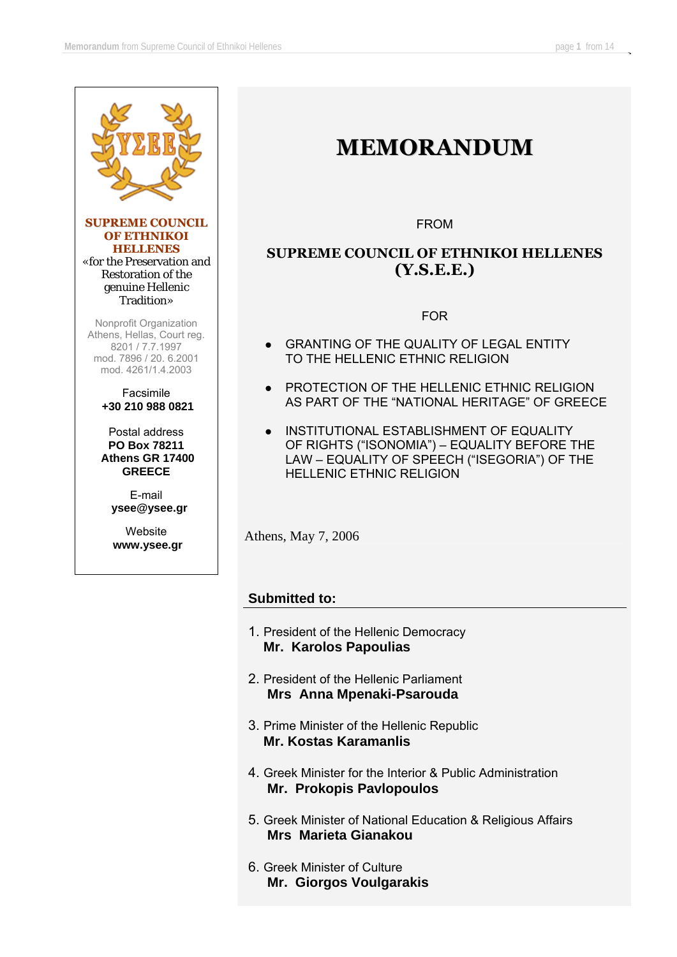

**SUPREME COUNCIL OF ETHNIKOI HELLENES** «for the Preservation and Restoration of the genuine Hellenic Tradition»

Nonprofit Organization Athens, Hellas, Court reg. 8201 / 7.7.1997 mod. 7896 / 20. 6.2001 mod. 4261/1.4.2003

#### Facsimile **+30 210 988 0821**

Postal address **PO Box 78211 Athens GR 17400 GREECE** 

> E-mail **ysee@ysee.gr**

Website  **www.ysee.gr** 

# **MEMORANDUM**

FROM

### **SUPREME COUNCIL OF ETHNIKOI HELLENES (Υ.S.E.E.)**

FOR

- **GRANTING OF THE QUALITY OF LEGAL ENTITY** TO THE HELLENIC ETHNIC RELIGION
- **PROTECTION OF THE HELLENIC ETHNIC RELIGION** AS PART OF THE "NATIONAL HERITAGE" OF GREECE
- $\bullet$  INSTITUTIONAL ESTABLISHMENT OF EQUALITY OF RIGHTS ("ISONOMIA") – EQUALITY BEFORE THE LAW – EQUALITY OF SPEECH ("ISEGORIA") OF THE HELLENIC ETHNIC RELIGION

Athens, May 7, 2006

### **Submitted to:**

- 1. President of the Hellenic Democracy **Mr. Karolos Papoulias**
- 2. President of the Hellenic Parliament **Mrs Anna Mpenaki-Psarouda**
- 3. Prime Minister of the Hellenic Republic **Mr. Kostas Karamanlis**
- 4. Greek Minister for the Interior & Public Administration **Mr. Prokopis Pavlopoulos**
- 5. Greek Minister of National Education & Religious Affairs **Mrs Marieta Gianakou**
- 6. Greek Minister of Culture **Mr. Giorgos Voulgarakis**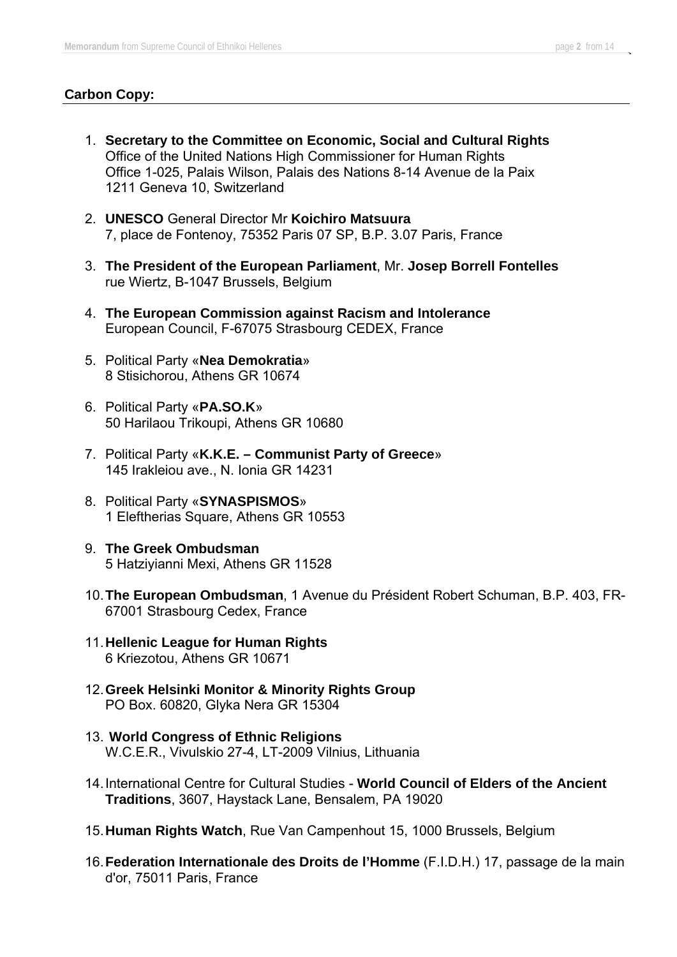### **Carbon Copy:**

- 1. **Secretary to the Committee on Economic, Social and Cultural Rights** Office of the United Nations High Commissioner for Human Rights Office 1-025, Palais Wilson, Palais des Nations 8-14 Avenue de la Paix 1211 Geneva 10, Switzerland
- 2. **UNESCO** General Director Mr **Koichiro Matsuura**  7, place de Fontenoy, 75352 Paris 07 SP, B.P. 3.07 Paris, France
- 3. **The President of the European Parliament**, Mr. **Josep Borrell Fontelles**  rue Wiertz, B-1047 Brussels, Belgium
- 4. **The European Commission against Racism and Intolerance** Εuropean Council, F-67075 Strasbourg CEDEX, France
- 5. Political Party «**Nea Demokratia**» 8 Stisichorou, Athens GR 10674
- 6. Political Party «**PA.SO.K**» 50 Harilaou Trikoupi, Athens GR 10680
- 7. Political Party «**K.K.E. Communist Party of Greece**» 145 Irakleiou ave., N. Ionia GR 14231
- 8. Political Party «**SYNASPISMOS**» 1 Eleftherias Square, Athens GR 10553
- 9. **The Greek Ombudsman** 5 Hatziyianni Mexi, Athens GR 11528
- 10. **The European Ombudsman**, 1 Avenue du Président Robert Schuman, B.P. 403, FR-67001 Strasbourg Cedex, France
- 11. **Hellenic League for Human Rights** 6 Kriezotou, Athens GR 10671
- 12. **Greek Helsinki Monitor & Minority Rights Group**  PO Box. 60820, Glyka Nera GR 15304
- 13. **World Congress of Ethnic Religions** W.C.E.R., Vivulskio 27-4, LT-2009 Vilnius, Lithuania
- 14. International Centre for Cultural Studies **World Council of Elders of the Ancient Traditions**, 3607, Haystack Lane, Bensalem, PA 19020
- 15. **Human Rights Watch**, Rue Van Campenhout 15, 1000 Brussels, Belgium
- 16. **Federation Internationale des Droits de l'Homme** (F.I.D.H.) 17, passage de la main d'or, 75011 Paris, France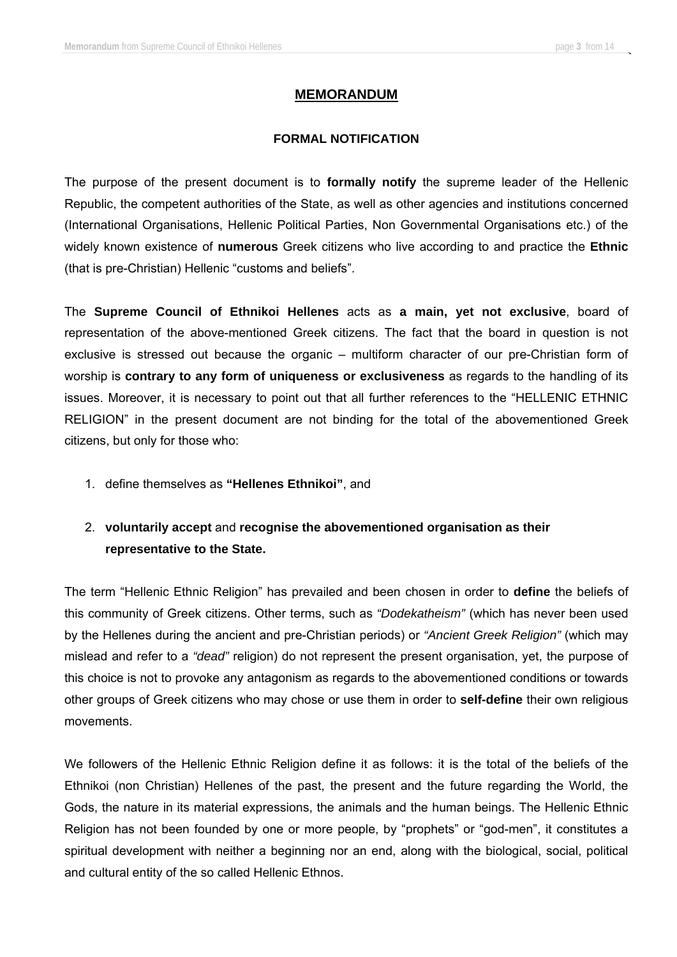### **MEMORANDUM**

#### **FORMAL NOTIFICATION**

The purpose of the present document is to **formally notify** the supreme leader of the Hellenic Republic, the competent authorities of the State, as well as other agencies and institutions concerned (International Organisations, Hellenic Political Parties, Non Governmental Organisations etc.) of the widely known existence of **numerous** Greek citizens who live according to and practice the **Ethnic** (that is pre-Christian) Hellenic "customs and beliefs".

The **Supreme Council of Ethnikoi Hellenes** acts as **a main, yet not exclusive**, board of representation of the above-mentioned Greek citizens. The fact that the board in question is not exclusive is stressed out because the organic – multiform character of our pre-Christian form of worship is **contrary to any form of uniqueness or exclusiveness** as regards to the handling of its issues. Moreover, it is necessary to point out that all further references to the "HELLENIC ETHNIC RELIGION" in the present document are not binding for the total of the abovementioned Greek citizens, but only for those who:

1. define themselves as **"Hellenes Ethnikoi"**, and

### 2. **voluntarily accept** and **recognise the abovementioned organisation as their representative to the State.**

The term "Hellenic Ethnic Religion" has prevailed and been chosen in order to **define** the beliefs of this community of Greek citizens. Other terms, such as *"Dodekatheism"* (which has never been used by the Hellenes during the ancient and pre-Christian periods) or *"Ancient Greek Religion"* (which may mislead and refer to a *"dead"* religion) do not represent the present organisation, yet, the purpose of this choice is not to provoke any antagonism as regards to the abovementioned conditions or towards other groups of Greek citizens who may chose or use them in order to **self-define** their own religious movements.

We followers of the Hellenic Ethnic Religion define it as follows: it is the total of the beliefs of the Ethnikoi (non Christian) Hellenes of the past, the present and the future regarding the World, the Gods, the nature in its material expressions, the animals and the human beings. The Hellenic Ethnic Religion has not been founded by one or more people, by "prophets" or "god-men", it constitutes a spiritual development with neither a beginning nor an end, along with the biological, social, political and cultural entity of the so called Hellenic Ethnos.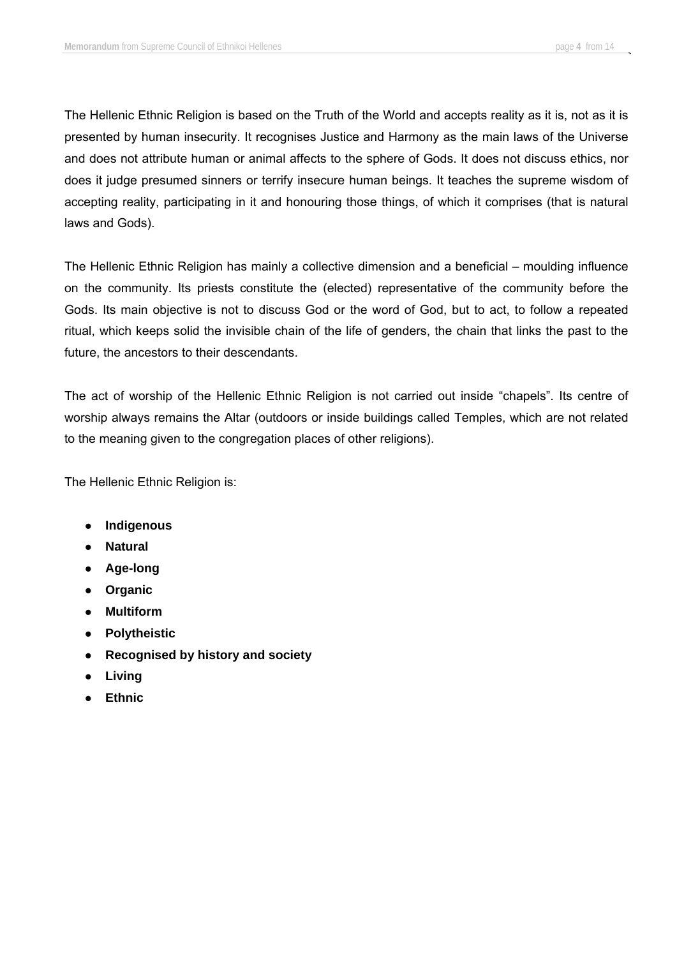The Hellenic Ethnic Religion is based on the Truth of the World and accepts reality as it is, not as it is presented by human insecurity. It recognises Justice and Harmony as the main laws of the Universe and does not attribute human or animal affects to the sphere of Gods. It does not discuss ethics, nor does it judge presumed sinners or terrify insecure human beings. It teaches the supreme wisdom of accepting reality, participating in it and honouring those things, of which it comprises (that is natural laws and Gods).

The Hellenic Ethnic Religion has mainly a collective dimension and a beneficial – moulding influence on the community. Its priests constitute the (elected) representative of the community before the Gods. Its main objective is not to discuss God or the word of God, but to act, to follow a repeated ritual, which keeps solid the invisible chain of the life of genders, the chain that links the past to the future, the ancestors to their descendants.

The act of worship of the Hellenic Ethnic Religion is not carried out inside "chapels". Its centre of worship always remains the Altar (outdoors or inside buildings called Temples, which are not related to the meaning given to the congregation places of other religions).

The Hellenic Ethnic Religion is:

- **•** Indigenous
- **•** Natural
- **•** Age-long
- **•** Organic
- **•** Multiform
- **•** Polytheistic
- **•** Recognised by history and society
- **•** Living
- z **Ethnic**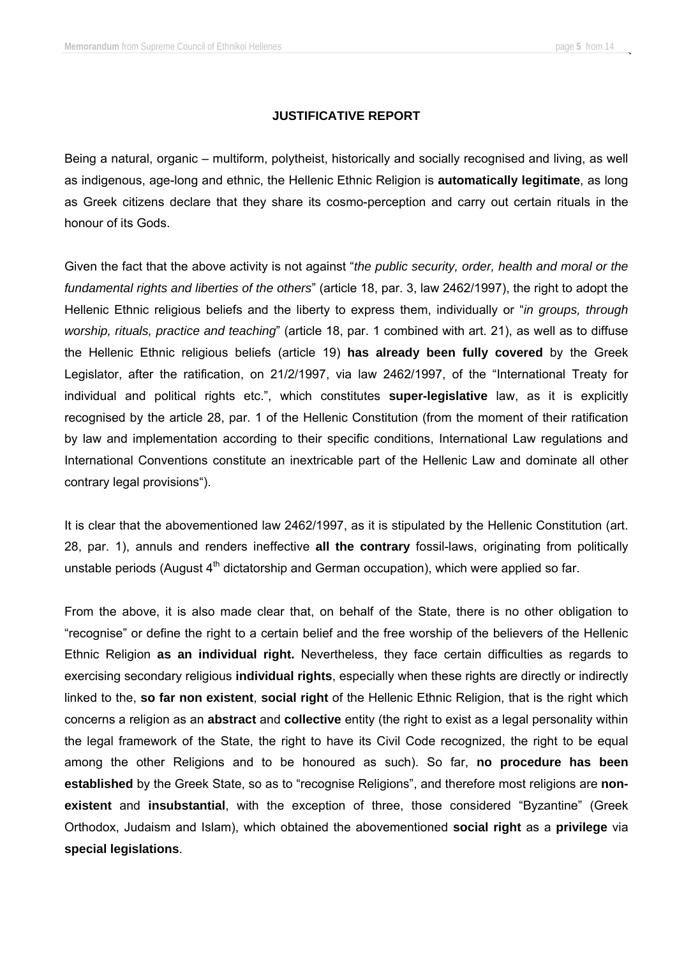#### **JUSTIFICATIVE REPORT**

Being a natural, organic – multiform, polytheist, historically and socially recognised and living, as well as indigenous, age-long and ethnic, the Hellenic Ethnic Religion is **automatically legitimate**, as long as Greek citizens declare that they share its cosmo-perception and carry out certain rituals in the honour of its Gods.

Given the fact that the above activity is not against "*the public security, order, health and moral or the fundamental rights and liberties of the others*" (article 18, par. 3, law 2462/1997), the right to adopt the Hellenic Ethnic religious beliefs and the liberty to express them, individually or "*in groups, through worship, rituals, practice and teaching*" (article 18, par. 1 combined with art. 21), as well as to diffuse the Hellenic Ethnic religious beliefs (article 19) **has already been fully covered** by the Greek Legislator, after the ratification, on 21/2/1997, via law 2462/1997, of the "International Treaty for individual and political rights etc.", which constitutes **super-legislative** law, as it is explicitly recognised by the article 28, par. 1 of the Hellenic Constitution (from the moment of their ratification by law and implementation according to their specific conditions, International Law regulations and International Conventions constitute an inextricable part of the Hellenic Law and dominate all other contrary legal provisions").

It is clear that the abovementioned law 2462/1997, as it is stipulated by the Hellenic Constitution (art. 28, par. 1), annuls and renders ineffective **all the contrary** fossil-laws, originating from politically unstable periods (August  $4<sup>th</sup>$  dictatorship and German occupation), which were applied so far.

From the above, it is also made clear that, on behalf of the State, there is no other obligation to "recognise" or define the right to a certain belief and the free worship of the believers of the Hellenic Ethnic Religion **as an individual right.** Nevertheless, they face certain difficulties as regards to exercising secondary religious **individual rights**, especially when these rights are directly or indirectly linked to the, **so far non existent**, **social right** of the Hellenic Ethnic Religion, that is the right which concerns a religion as an **abstract** and **collective** entity (the right to exist as a legal personality within the legal framework of the State, the right to have its Civil Code recognized, the right to be equal among the other Religions and to be honoured as such). So far, **no procedure has been established** by the Greek State, so as to "recognise Religions", and therefore most religions are **nonexistent** and **insubstantial**, with the exception of three, those considered "Byzantine" (Greek Orthodox, Judaism and Islam), which obtained the abovementioned **social right** as a **privilege** via **special legislations**.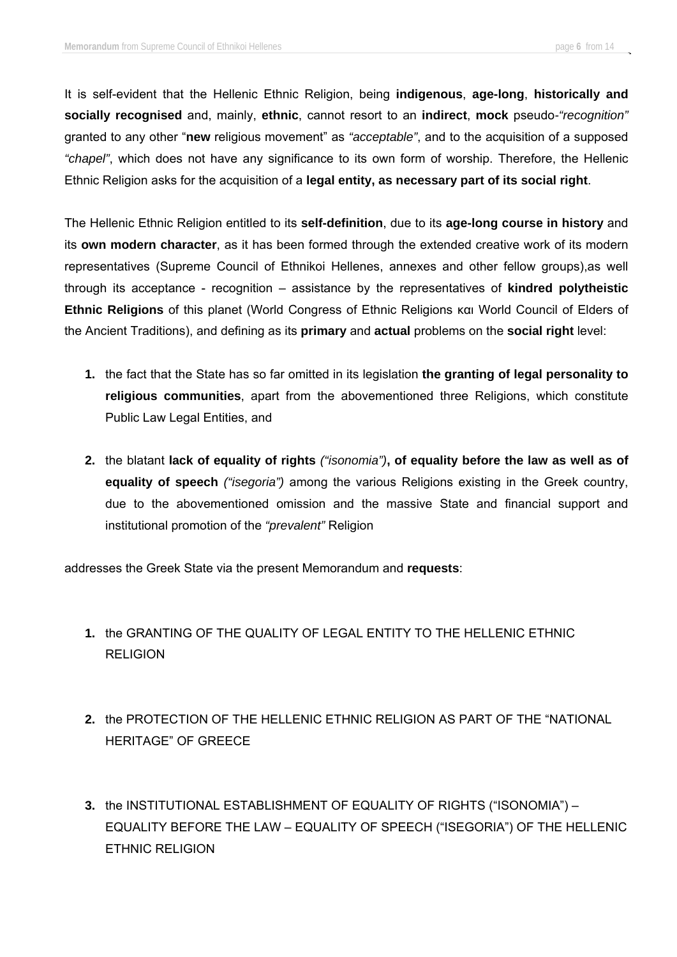It is self-evident that the Hellenic Ethnic Religion, being **indigenous**, **age-long**, **historically and socially recognised** and, mainly, **ethnic**, cannot resort to an **indirect**, **mock** pseudo*-"recognition"* granted to any other "**new** religious movement" as *"acceptable"*, and to the acquisition of a supposed *"chapel"*, which does not have any significance to its own form of worship. Therefore, the Hellenic Ethnic Religion asks for the acquisition of a **legal entity, as necessary part of its social right**.

The Hellenic Ethnic Religion entitled to its **self-definition**, due to its **age-long course in history** and its **own modern character**, as it has been formed through the extended creative work of its modern representatives (Supreme Council of Ethnikoi Hellenes, annexes and other fellow groups),as well through its acceptance - recognition – assistance by the representatives of **kindred polytheistic Ethnic Religions** of this planet (World Congress of Ethnic Religions και World Council of Elders of the Ancient Traditions), and defining as its **primary** and **actual** problems on the **social right** level:

- **1.** the fact that the State has so far omitted in its legislation **the granting of legal personality to religious communities**, apart from the abovementioned three Religions, which constitute Public Law Legal Entities, and
- **2.** the blatant **lack of equality of rights** *("isonomia")***, of equality before the law as well as of equality of speech** *("isegoria")* among the various Religions existing in the Greek country, due to the abovementioned omission and the massive State and financial support and institutional promotion of the *"prevalent"* Religion

addresses the Greek State via the present Memorandum and **requests**:

- **1.** the GRANTING OF THE QUALITY OF LEGAL ENTITY TO THE HELLENIC ETHNIC RELIGION
- **2.** the PROTECTION OF THE HELLENIC ETHNIC RELIGION AS PART OF THE "NATIONAL HERITAGE" OF GREECE
- **3.** the INSTITUTIONAL ESTABLISHMENT OF EQUALITY OF RIGHTS ("ISONOMIA") EQUALITY BEFORE THE LAW – EQUALITY OF SPEECH ("ISEGORIA") OF THE HELLENIC ETHNIC RELIGION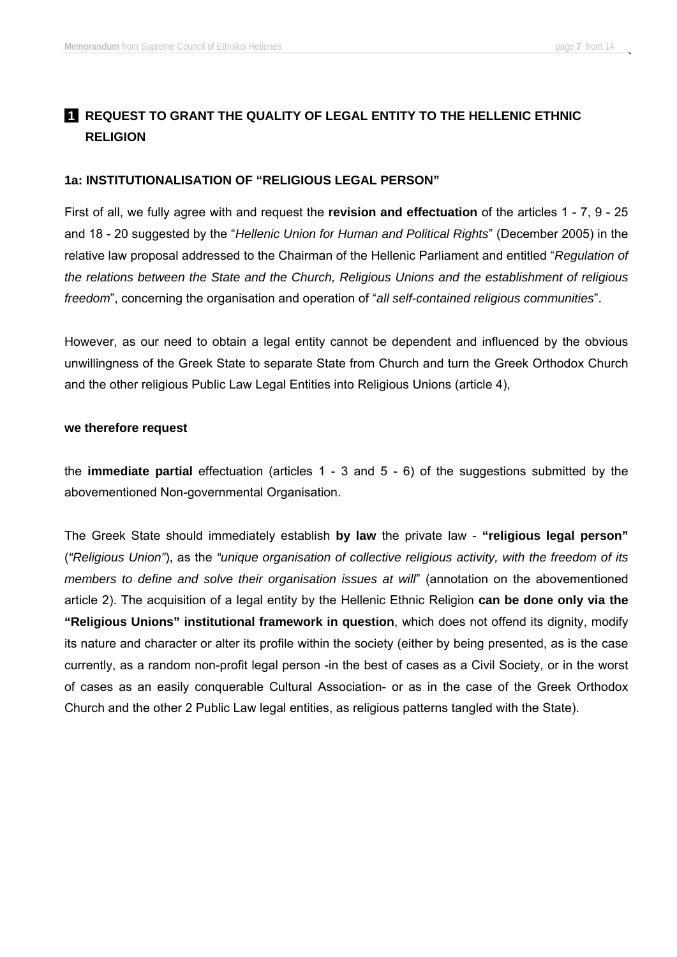### **1 REQUEST TO GRANT THE QUALITY OF LEGAL ENTITY TO THE HELLENIC ETHNIC RELIGION**

### **1a: INSTITUTIONALISATION OF "RELIGIOUS LEGAL PERSON"**

First of all, we fully agree with and request the **revision and effectuation** of the articles 1 - 7, 9 - 25 and 18 - 20 suggested by the "*Hellenic Union for Human and Political Rights*" (December 2005) in the relative law proposal addressed to the Chairman of the Hellenic Parliament and entitled "*Regulation of the relations between the State and the Church, Religious Unions and the establishment of religious freedom*", concerning the organisation and operation of "*all self-contained religious communities*".

However, as our need to obtain a legal entity cannot be dependent and influenced by the obvious unwillingness of the Greek State to separate State from Church and turn the Greek Orthodox Church and the other religious Public Law Legal Entities into Religious Unions (article 4),

### **we therefore request**

the **immediate partial** effectuation (articles 1 - 3 and 5 - 6) of the suggestions submitted by the abovementioned Non-governmental Organisation.

The Greek State should immediately establish **by law** the private law - **"religious legal person"** (*"Religious Union"*), as the *"unique organisation of collective religious activity, with the freedom of its members to define and solve their organisation issues at will*" (annotation on the abovementioned article 2). The acquisition of a legal entity by the Hellenic Ethnic Religion **can be done only via the "Religious Unions" institutional framework in question**, which does not offend its dignity, modify its nature and character or alter its profile within the society (either by being presented, as is the case currently, as a random non-profit legal person -in the best of cases as a Civil Society, or in the worst of cases as an easily conquerable Cultural Association- or as in the case of the Greek Orthodox Church and the other 2 Public Law legal entities, as religious patterns tangled with the State).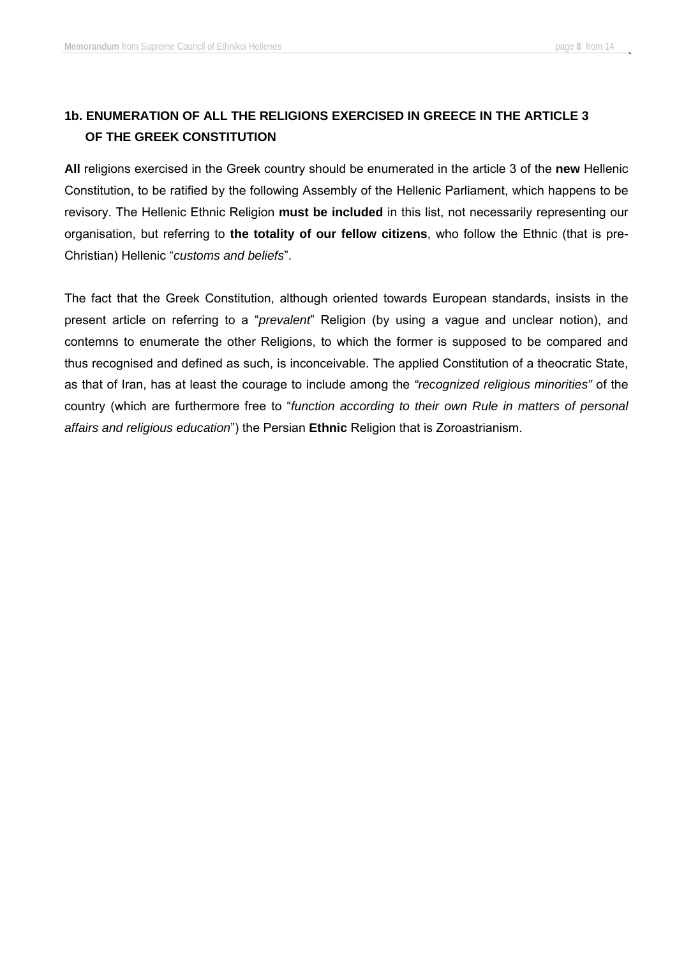# **1b. ENUMERATION OF ALL THE RELIGIONS EXERCISED IN GREECE IN THE ARTICLE 3 OF THE GREEK CONSTITUTION**

**All** religions exercised in the Greek country should be enumerated in the article 3 of the **new** Hellenic Constitution, to be ratified by the following Assembly of the Hellenic Parliament, which happens to be revisory. The Hellenic Ethnic Religion **must be included** in this list, not necessarily representing our organisation, but referring to **the totality of our fellow citizens**, who follow the Ethnic (that is pre-Christian) Hellenic "*customs and beliefs*".

The fact that the Greek Constitution, although oriented towards European standards, insists in the present article on referring to a "*prevalent*" Religion (by using a vague and unclear notion), and contemns to enumerate the other Religions, to which the former is supposed to be compared and thus recognised and defined as such, is inconceivable. The applied Constitution of a theocratic State, as that of Iran, has at least the courage to include among the *"recognized religious minorities"* of the country (which are furthermore free to "*function according to their own Rule in matters of personal affairs and religious education*") the Persian **Ethnic** Religion that is Zoroastrianism.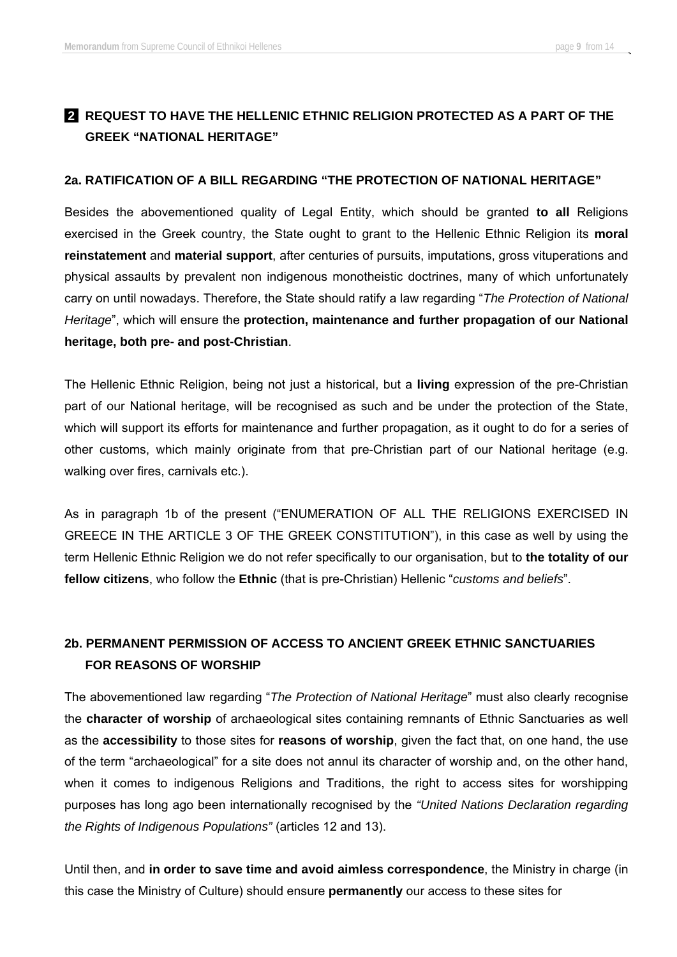# **2 REQUEST TO HAVE THE HELLENIC ETHNIC RELIGION PROTECTED AS A PART OF THE GREEK "NATIONAL HERITAGE"**

### **2a. RATIFICATION OF A BILL REGARDING "THE PROTECTION OF NATIONAL HERITAGE"**

Besides the abovementioned quality of Legal Entity, which should be granted **to all** Religions exercised in the Greek country, the State ought to grant to the Hellenic Ethnic Religion its **moral reinstatement** and **material support**, after centuries of pursuits, imputations, gross vituperations and physical assaults by prevalent non indigenous monotheistic doctrines, many of which unfortunately carry on until nowadays. Therefore, the State should ratify a law regarding "*The Protection of National Heritage*", which will ensure the **protection, maintenance and further propagation of our National heritage, both pre- and post-Christian**.

The Hellenic Ethnic Religion, being not just a historical, but a **living** expression of the pre-Christian part of our National heritage, will be recognised as such and be under the protection of the State, which will support its efforts for maintenance and further propagation, as it ought to do for a series of other customs, which mainly originate from that pre-Christian part of our National heritage (e.g. walking over fires, carnivals etc.).

As in paragraph 1b of the present ("ENUMERATION OF ALL THE RELIGIONS EXERCISED IN GREECE IN THE ARTICLE 3 OF THE GREEK CONSTITUTION"), in this case as well by using the term Hellenic Ethnic Religion we do not refer specifically to our organisation, but to **the totality of our fellow citizens**, who follow the **Ethnic** (that is pre-Christian) Hellenic "*customs and beliefs*".

# **2b. PERMANENT PERMISSION OF ACCESS TO ANCIENT GREEK ETHNIC SANCTUARIES FOR REASONS OF WORSHIP**

The abovementioned law regarding "*The Protection of National Heritage*" must also clearly recognise the **character of worship** of archaeological sites containing remnants of Ethnic Sanctuaries as well as the **accessibility** to those sites for **reasons of worship**, given the fact that, on one hand, the use of the term "archaeological" for a site does not annul its character of worship and, on the other hand, when it comes to indigenous Religions and Traditions, the right to access sites for worshipping purposes has long ago been internationally recognised by the *"United Nations Declaration regarding the Rights of Indigenous Populations"* (articles 12 and 13).

Until then, and **in order to save time and avoid aimless correspondence**, the Ministry in charge (in this case the Ministry of Culture) should ensure **permanently** our access to these sites for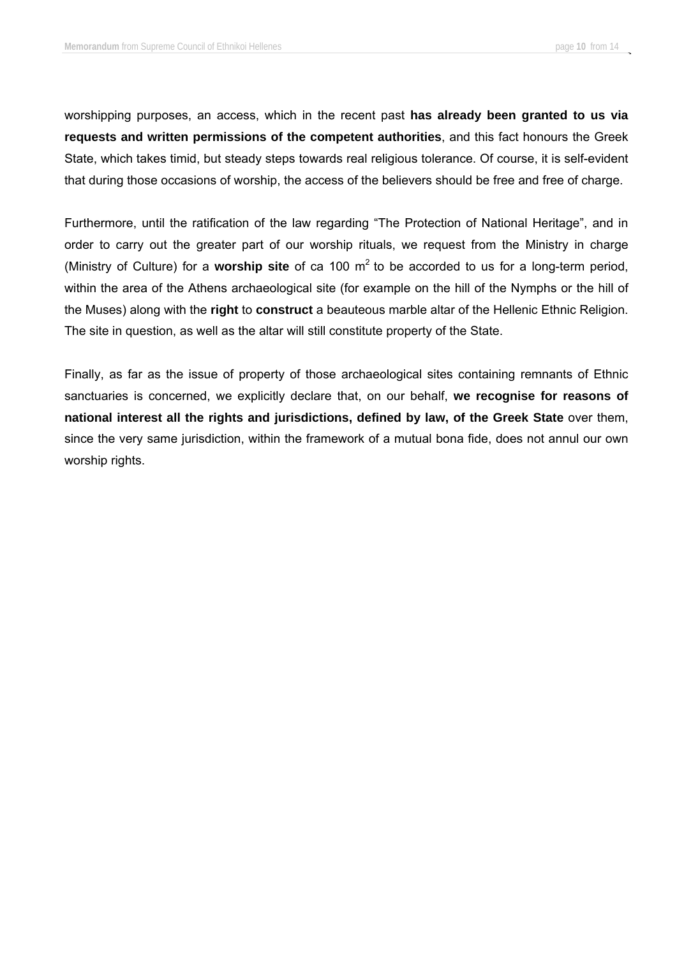worshipping purposes, an access, which in the recent past **has already been granted to us via requests and written permissions of the competent authorities**, and this fact honours the Greek State, which takes timid, but steady steps towards real religious tolerance. Of course, it is self-evident that during those occasions of worship, the access of the believers should be free and free of charge.

Furthermore, until the ratification of the law regarding "The Protection of National Heritage", and in order to carry out the greater part of our worship rituals, we request from the Ministry in charge (Ministry of Culture) for a **worship site** of ca 100 m2 to be accorded to us for a long-term period, within the area of the Athens archaeological site (for example on the hill of the Nymphs or the hill of the Muses) along with the **right** to **construct** a beauteous marble altar of the Hellenic Ethnic Religion. The site in question, as well as the altar will still constitute property of the State.

Finally, as far as the issue of property of those archaeological sites containing remnants of Ethnic sanctuaries is concerned, we explicitly declare that, on our behalf, **we recognise for reasons of national interest all the rights and jurisdictions, defined by law, of the Greek State** over them, since the very same jurisdiction, within the framework of a mutual bona fide, does not annul our own worship rights.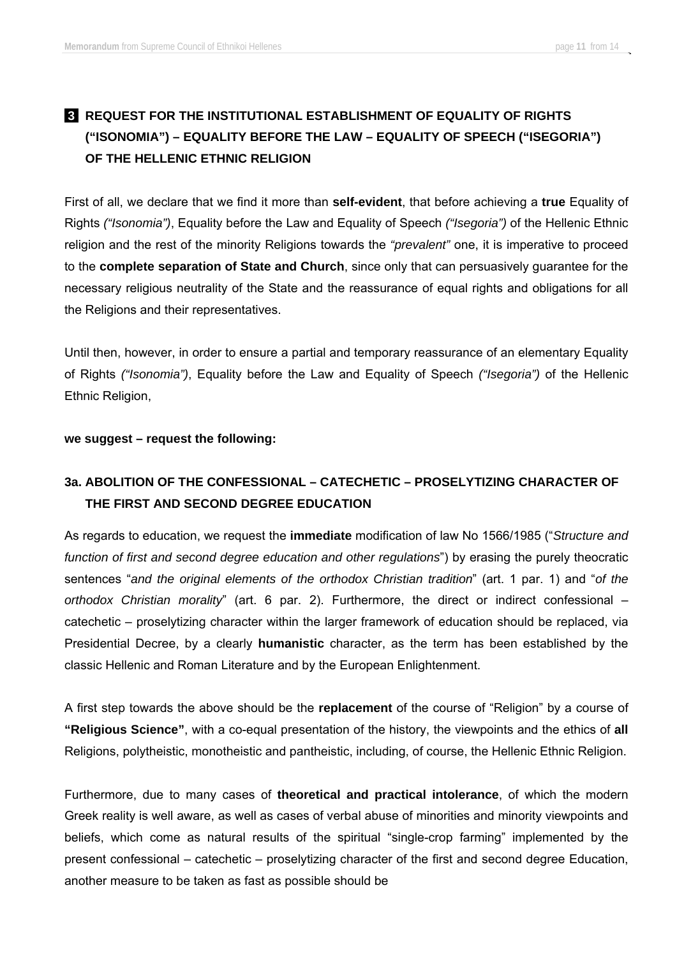# **8 REQUEST FOR THE INSTITUTIONAL ESTABLISHMENT OF EQUALITY OF RIGHTS ("ISONOMIA") – EQUALITY BEFORE THE LAW – EQUALITY OF SPEECH ("ISEGORIA") OF THE HELLENIC ETHNIC RELIGION**

First of all, we declare that we find it more than **self-evident**, that before achieving a **true** Equality of Rights *("Isonomia")*, Equality before the Law and Equality of Speech *("Isegoria")* of the Hellenic Ethnic religion and the rest of the minority Religions towards the *"prevalent"* one, it is imperative to proceed to the **complete separation of State and Church**, since only that can persuasively guarantee for the necessary religious neutrality of the State and the reassurance of equal rights and obligations for all the Religions and their representatives.

Until then, however, in order to ensure a partial and temporary reassurance of an elementary Equality of Rights *("Isonomia")*, Equality before the Law and Equality of Speech *("Isegoria")* of the Hellenic Ethnic Religion,

### **we suggest – request the following:**

### **3a. ABOLITION OF THE CONFESSIONAL – CATECHETIC – PROSELYTIZING CHARACTER OF THE FIRST AND SECOND DEGREE EDUCATION**

As regards to education, we request the **immediate** modification of law No 1566/1985 ("*Structure and function of first and second degree education and other regulations*") by erasing the purely theocratic sentences "*and the original elements of the orthodox Christian tradition*" (art. 1 par. 1) and "*of the orthodox Christian morality*" (art. 6 par. 2). Furthermore, the direct or indirect confessional – catechetic – proselytizing character within the larger framework of education should be replaced, via Presidential Decree, by a clearly **humanistic** character, as the term has been established by the classic Hellenic and Roman Literature and by the European Enlightenment.

A first step towards the above should be the **replacement** of the course of "Religion" by a course of **"Religious Science"**, with a co-equal presentation of the history, the viewpoints and the ethics of **all** Religions, polytheistic, monotheistic and pantheistic, including, of course, the Hellenic Ethnic Religion.

Furthermore, due to many cases of **theoretical and practical intolerance**, of which the modern Greek reality is well aware, as well as cases of verbal abuse of minorities and minority viewpoints and beliefs, which come as natural results of the spiritual "single-crop farming" implemented by the present confessional – catechetic – proselytizing character of the first and second degree Education, another measure to be taken as fast as possible should be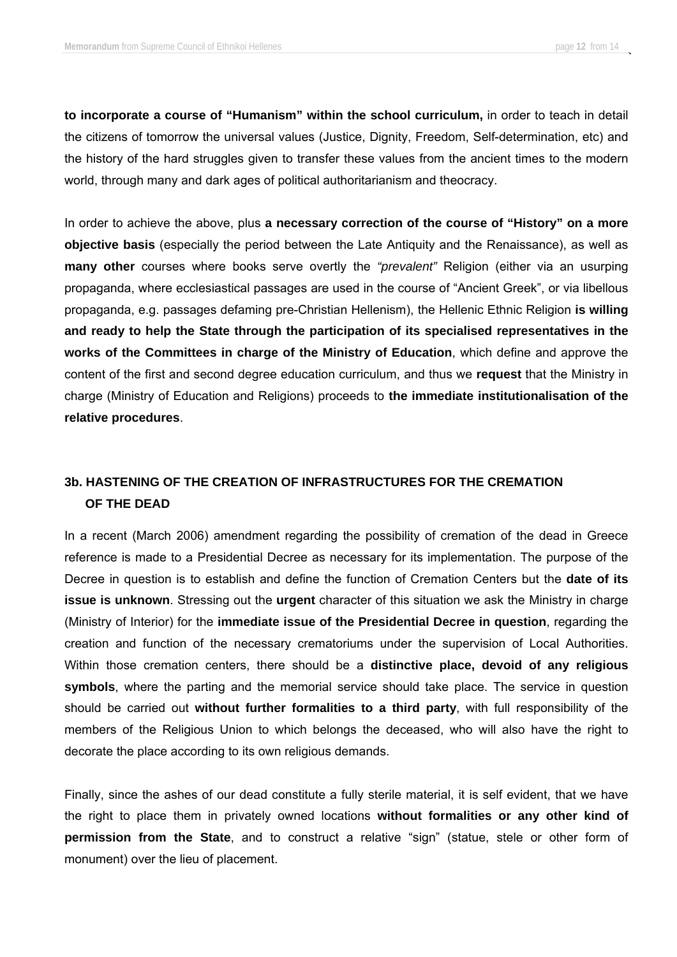**to incorporate a course of "Humanism" within the school curriculum,** in order to teach in detail the citizens of tomorrow the universal values (Justice, Dignity, Freedom, Self-determination, etc) and the history of the hard struggles given to transfer these values from the ancient times to the modern world, through many and dark ages of political authoritarianism and theocracy.

In order to achieve the above, plus **a necessary correction of the course of "History" on a more objective basis** (especially the period between the Late Antiquity and the Renaissance), as well as **many other** courses where books serve overtly the *"prevalent"* Religion (either via an usurping propaganda, where ecclesiastical passages are used in the course of "Ancient Greek", or via libellous propaganda, e.g. passages defaming pre-Christian Hellenism), the Hellenic Ethnic Religion **is willing and ready to help the State through the participation of its specialised representatives in the works of the Committees in charge of the Ministry of Education**, which define and approve the content of the first and second degree education curriculum, and thus we **request** that the Ministry in charge (Ministry of Education and Religions) proceeds to **the immediate institutionalisation of the relative procedures**.

### **3b. HASTENING OF THE CREATION OF INFRASTRUCTURES FOR THE CREMATION OF THE DEAD**

In a recent (March 2006) amendment regarding the possibility of cremation of the dead in Greece reference is made to a Presidential Decree as necessary for its implementation. The purpose of the Decree in question is to establish and define the function of Cremation Centers but the **date of its issue is unknown**. Stressing out the **urgent** character of this situation we ask the Ministry in charge (Ministry of Interior) for the **immediate issue of the Presidential Decree in question**, regarding the creation and function of the necessary crematoriums under the supervision of Local Authorities. Within those cremation centers, there should be a **distinctive place, devoid of any religious symbols**, where the parting and the memorial service should take place. The service in question should be carried out **without further formalities to a third party**, with full responsibility of the members of the Religious Union to which belongs the deceased, who will also have the right to decorate the place according to its own religious demands.

Finally, since the ashes of our dead constitute a fully sterile material, it is self evident, that we have the right to place them in privately owned locations **without formalities or any other kind of permission from the State**, and to construct a relative "sign" (statue, stele or other form of monument) over the lieu of placement.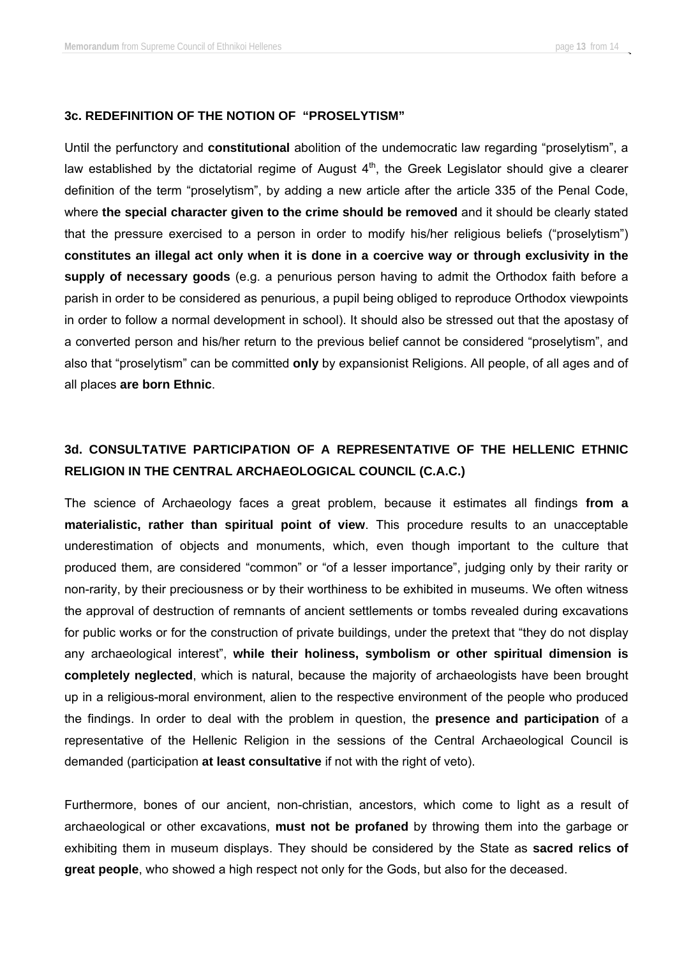#### **3c. REDEFINITION OF THE NOTION OF "PROSELYTISM"**

Until the perfunctory and **constitutional** abolition of the undemocratic law regarding "proselytism", a law established by the dictatorial regime of August  $4<sup>th</sup>$ , the Greek Legislator should give a clearer definition of the term "proselytism", by adding a new article after the article 335 of the Penal Code, where **the special character given to the crime should be removed** and it should be clearly stated that the pressure exercised to a person in order to modify his/her religious beliefs ("proselytism") **constitutes an illegal act only when it is done in a coercive way or through exclusivity in the supply of necessary goods** (e.g. a penurious person having to admit the Orthodox faith before a parish in order to be considered as penurious, a pupil being obliged to reproduce Orthodox viewpoints in order to follow a normal development in school). It should also be stressed out that the apostasy of a converted person and his/her return to the previous belief cannot be considered "proselytism", and also that "proselytism" can be committed **only** by expansionist Religions. All people, of all ages and of all places **are born Ethnic**.

# **3d. CONSULTATIVE PARTICIPATION OF A REPRESENTATIVE OF THE HELLENIC ETHNIC RELIGION IN THE CENTRAL ARCHAEOLOGICAL COUNCIL (C.A.C.)**

The science of Archaeology faces a great problem, because it estimates all findings **from a materialistic, rather than spiritual point of view**. This procedure results to an unacceptable underestimation of objects and monuments, which, even though important to the culture that produced them, are considered "common" or "of a lesser importance", judging only by their rarity or non-rarity, by their preciousness or by their worthiness to be exhibited in museums. We often witness the approval of destruction of remnants of ancient settlements or tombs revealed during excavations for public works or for the construction of private buildings, under the pretext that "they do not display any archaeological interest", **while their holiness, symbolism or other spiritual dimension is completely neglected**, which is natural, because the majority of archaeologists have been brought up in a religious-moral environment, alien to the respective environment of the people who produced the findings. In order to deal with the problem in question, the **presence and participation** of a representative of the Hellenic Religion in the sessions of the Central Archaeological Council is demanded (participation **at least consultative** if not with the right of veto).

Furthermore, bones of our ancient, non-christian, ancestors, which come to light as a result of archaeological or other excavations, **must not be profaned** by throwing them into the garbage or exhibiting them in museum displays. They should be considered by the State as **sacred relics of great people**, who showed a high respect not only for the Gods, but also for the deceased.